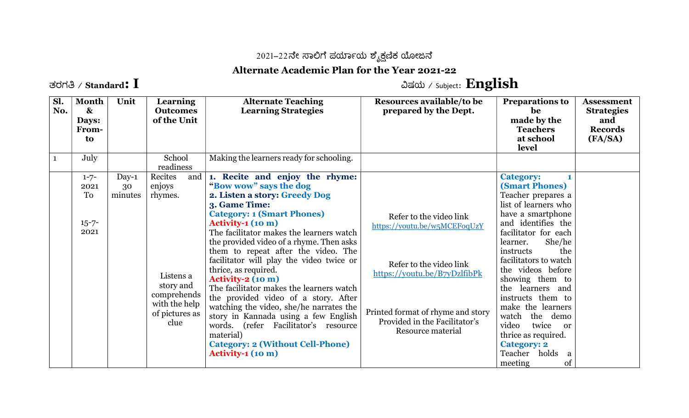## 2021–22ನೇ ಸಾಲಿಗೆ ಪರ್ಯಾಯ ಶೈಕ್ಷಣಿಕ ಯೋಜನೆ

## Alternate Academic Plan for the Year 2021-22

ತರಗತಿ / Standard:  $\bf{I}$   $\bf{I}$ 

| Sl.<br>No.   | <b>Month</b><br>$\mathbf{\alpha}$<br>Days:<br><b>From-</b><br>to | Unit                     | <b>Learning</b><br><b>Outcomes</b><br>of the Unit                                                                       | <b>Alternate Teaching</b><br><b>Learning Strategies</b>                                                                                                                                                                                                                                                                                                                                                                                                                                                                                                                                                                                                                                                | Resources available/to be<br>prepared by the Dept.                                                                                                                                                            | <b>Preparations to</b><br>be<br>made by the<br><b>Teachers</b><br>at school<br>level                                                                                                                                                                                                                                                                                                                                                                                            | <b>Assessment</b><br><b>Strategies</b><br>and<br><b>Records</b><br>(FA/SA) |
|--------------|------------------------------------------------------------------|--------------------------|-------------------------------------------------------------------------------------------------------------------------|--------------------------------------------------------------------------------------------------------------------------------------------------------------------------------------------------------------------------------------------------------------------------------------------------------------------------------------------------------------------------------------------------------------------------------------------------------------------------------------------------------------------------------------------------------------------------------------------------------------------------------------------------------------------------------------------------------|---------------------------------------------------------------------------------------------------------------------------------------------------------------------------------------------------------------|---------------------------------------------------------------------------------------------------------------------------------------------------------------------------------------------------------------------------------------------------------------------------------------------------------------------------------------------------------------------------------------------------------------------------------------------------------------------------------|----------------------------------------------------------------------------|
| $\mathbf{1}$ | July                                                             |                          | School<br>readiness                                                                                                     | Making the learners ready for schooling.                                                                                                                                                                                                                                                                                                                                                                                                                                                                                                                                                                                                                                                               |                                                                                                                                                                                                               |                                                                                                                                                                                                                                                                                                                                                                                                                                                                                 |                                                                            |
|              | $1 - 7 -$<br>2021<br>To<br>$15 - 7 -$<br>2021                    | $Day-1$<br>30<br>minutes | Recites<br>and<br>enjoys<br>rhymes.<br>Listens a<br>story and<br>comprehends<br>with the help<br>of pictures as<br>clue | 1. Recite and enjoy the rhyme:<br>"Bow wow" says the dog<br>2. Listen a story: Greedy Dog<br>3. Game Time:<br><b>Category: 1 (Smart Phones)</b><br>$Activity-1 (10 m)$<br>The facilitator makes the learners watch<br>the provided video of a rhyme. Then asks<br>them to repeat after the video. The<br>facilitator will play the video twice or<br>thrice, as required.<br>Activity- $2(10 \text{ m})$<br>The facilitator makes the learners watch<br>the provided video of a story. After<br>watching the video, she/he narrates the<br>story in Kannada using a few English<br>words. (refer Facilitator's resource<br>material)<br><b>Category: 2 (Without Cell-Phone)</b><br>$Activity-1 (10 m)$ | Refer to the video link<br>https://youtu.be/w5MCEFoqUzY<br>Refer to the video link<br>https://youtu.be/B7yDzlfibPk<br>Printed format of rhyme and story<br>Provided in the Facilitator's<br>Resource material | <b>Category:</b><br><b>(Smart Phones)</b><br>Teacher prepares a<br>list of learners who<br>have a smartphone<br>and identifies the<br>facilitator for each<br>She/he<br>learner.<br>the<br>instructs<br>facilitators to watch<br>the videos before<br>showing them to<br>the learners and<br>instructs them to<br>make the learners<br>watch<br>the demo<br>twice<br>video<br><sub>or</sub><br>thrice as required.<br><b>Category: 2</b><br>Teacher holds<br>a<br>of<br>meeting |                                                                            |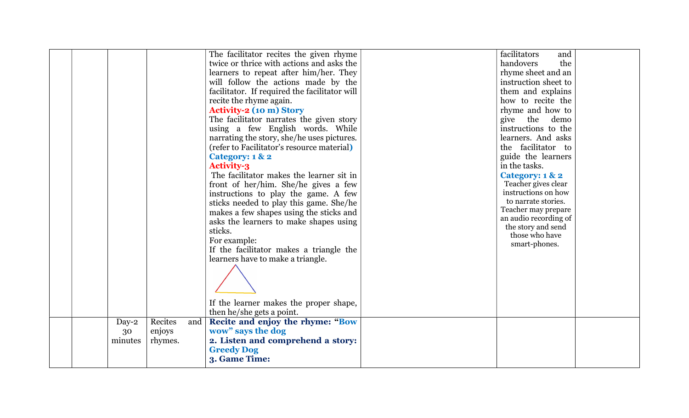|  |                        |                              |     | The facilitator recites the given rhyme<br>twice or thrice with actions and asks the<br>learners to repeat after him/her. They<br>will follow the actions made by the<br>facilitator. If required the facilitator will<br>recite the rhyme again.<br><b>Activity-2 (10 m) Story</b><br>The facilitator narrates the given story<br>using a few English words. While<br>narrating the story, she/he uses pictures.<br>(refer to Facilitator's resource material)<br>Category: 1 & 2<br><b>Activity-3</b><br>The facilitator makes the learner sit in<br>front of her/him. She/he gives a few<br>instructions to play the game. A few<br>sticks needed to play this game. She/he<br>makes a few shapes using the sticks and<br>asks the learners to make shapes using<br>sticks.<br>For example:<br>If the facilitator makes a triangle the<br>learners have to make a triangle.<br>If the learner makes the proper shape, | facilitators<br>and<br>handovers<br>the<br>rhyme sheet and an<br>instruction sheet to<br>them and explains<br>how to recite the<br>rhyme and how to<br>give the demo<br>instructions to the<br>learners. And asks<br>the facilitator to<br>guide the learners<br>in the tasks.<br>Category: 1 & 2<br>Teacher gives clear<br>instructions on how<br>to narrate stories.<br>Teacher may prepare<br>an audio recording of<br>the story and send<br>those who have<br>smart-phones. |  |
|--|------------------------|------------------------------|-----|--------------------------------------------------------------------------------------------------------------------------------------------------------------------------------------------------------------------------------------------------------------------------------------------------------------------------------------------------------------------------------------------------------------------------------------------------------------------------------------------------------------------------------------------------------------------------------------------------------------------------------------------------------------------------------------------------------------------------------------------------------------------------------------------------------------------------------------------------------------------------------------------------------------------------|---------------------------------------------------------------------------------------------------------------------------------------------------------------------------------------------------------------------------------------------------------------------------------------------------------------------------------------------------------------------------------------------------------------------------------------------------------------------------------|--|
|  |                        |                              |     | then he/she gets a point.                                                                                                                                                                                                                                                                                                                                                                                                                                                                                                                                                                                                                                                                                                                                                                                                                                                                                                |                                                                                                                                                                                                                                                                                                                                                                                                                                                                                 |  |
|  | Day-2<br>30<br>minutes | Recites<br>enjoys<br>rhymes. | and | Recite and enjoy the rhyme: "Bow<br>wow" says the dog<br>2. Listen and comprehend a story:<br><b>Greedy Dog</b><br>3. Game Time:                                                                                                                                                                                                                                                                                                                                                                                                                                                                                                                                                                                                                                                                                                                                                                                         |                                                                                                                                                                                                                                                                                                                                                                                                                                                                                 |  |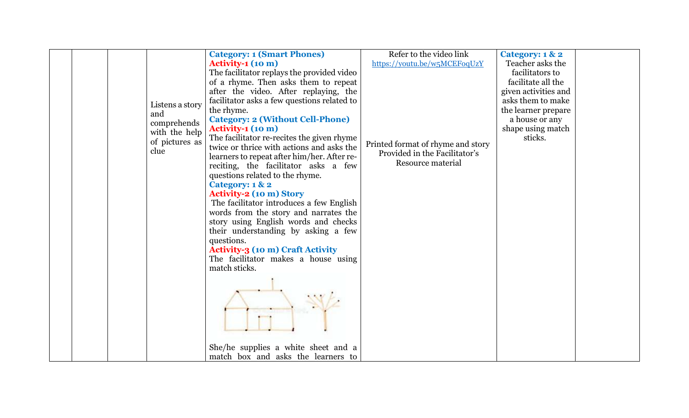|                        | <b>Category: 1 (Smart Phones)</b>           | Refer to the video link           | Category: 1 & 2      |  |
|------------------------|---------------------------------------------|-----------------------------------|----------------------|--|
|                        | Activity-1 (10 m)                           | https://youtu.be/w5MCEFoqUzY      | Teacher asks the     |  |
|                        | The facilitator replays the provided video  |                                   | facilitators to      |  |
|                        | of a rhyme. Then asks them to repeat        |                                   | facilitate all the   |  |
|                        | after the video. After replaying, the       |                                   | given activities and |  |
|                        | facilitator asks a few questions related to |                                   | asks them to make    |  |
| Listens a story        | the rhyme.                                  |                                   | the learner prepare  |  |
| and                    | <b>Category: 2 (Without Cell-Phone)</b>     |                                   | a house or any       |  |
| comprehends            | <b>Activity-1 (10 m)</b>                    |                                   | shape using match    |  |
| with the help          | The facilitator re-recites the given rhyme  |                                   | sticks.              |  |
| of pictures as<br>clue | twice or thrice with actions and asks the   | Printed format of rhyme and story |                      |  |
|                        | learners to repeat after him/her. After re- | Provided in the Facilitator's     |                      |  |
|                        | reciting, the facilitator asks a few        | Resource material                 |                      |  |
|                        | questions related to the rhyme.             |                                   |                      |  |
|                        | Category: 1 & 2                             |                                   |                      |  |
|                        | <b>Activity-2 (10 m) Story</b>              |                                   |                      |  |
|                        | The facilitator introduces a few English    |                                   |                      |  |
|                        | words from the story and narrates the       |                                   |                      |  |
|                        | story using English words and checks        |                                   |                      |  |
|                        | their understanding by asking a few         |                                   |                      |  |
|                        | questions.                                  |                                   |                      |  |
|                        | <b>Activity-3 (10 m) Craft Activity</b>     |                                   |                      |  |
|                        | The facilitator makes a house using         |                                   |                      |  |
|                        | match sticks.                               |                                   |                      |  |
|                        |                                             |                                   |                      |  |
|                        |                                             |                                   |                      |  |
|                        |                                             |                                   |                      |  |
|                        |                                             |                                   |                      |  |
|                        |                                             |                                   |                      |  |
|                        |                                             |                                   |                      |  |
|                        |                                             |                                   |                      |  |
|                        | She/he supplies a white sheet and a         |                                   |                      |  |
|                        | match box and asks the learners to          |                                   |                      |  |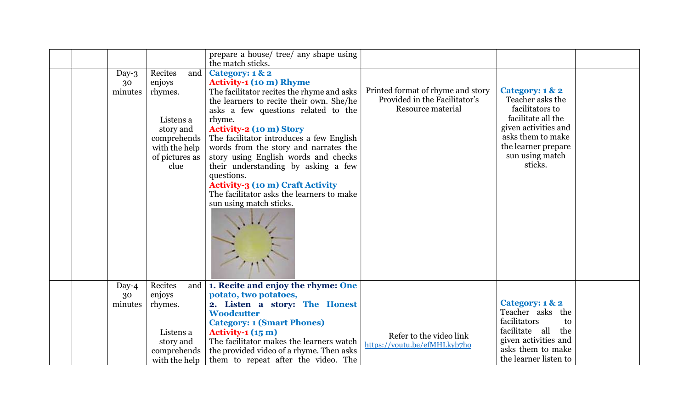|  |                        |                                                                                                                           | prepare a house/ tree/ any shape using<br>the match sticks.                                                                                                                                                                                                                                                                                                                                                                                                                                                                  |                                                                                         |                                                                                                                                                                                |  |
|--|------------------------|---------------------------------------------------------------------------------------------------------------------------|------------------------------------------------------------------------------------------------------------------------------------------------------------------------------------------------------------------------------------------------------------------------------------------------------------------------------------------------------------------------------------------------------------------------------------------------------------------------------------------------------------------------------|-----------------------------------------------------------------------------------------|--------------------------------------------------------------------------------------------------------------------------------------------------------------------------------|--|
|  | Day-3<br>30<br>minutes | Recites<br>and  <br>enjoys<br>rhymes.<br>Listens a<br>story and<br>comprehends<br>with the help<br>of pictures as<br>clue | Category: 1 & 2<br><b>Activity-1 (10 m) Rhyme</b><br>The facilitator recites the rhyme and asks<br>the learners to recite their own. She/he<br>asks a few questions related to the<br>rhyme.<br><b>Activity-2 (10 m) Story</b><br>The facilitator introduces a few English<br>words from the story and narrates the<br>story using English words and checks<br>their understanding by asking a few<br>questions.<br>Activity-3 (10 m) Craft Activity<br>The facilitator asks the learners to make<br>sun using match sticks. | Printed format of rhyme and story<br>Provided in the Facilitator's<br>Resource material | Category: 1 & 2<br>Teacher asks the<br>facilitators to<br>facilitate all the<br>given activities and<br>asks them to make<br>the learner prepare<br>sun using match<br>sticks. |  |
|  | Day- $4$<br>30         | Recites<br>enjoys                                                                                                         | and   1. Recite and enjoy the rhyme: One<br>potato, two potatoes,                                                                                                                                                                                                                                                                                                                                                                                                                                                            |                                                                                         |                                                                                                                                                                                |  |
|  | minutes                | rhymes.                                                                                                                   | 2. Listen a story: The Honest<br><b>Woodcutter</b><br><b>Category: 1 (Smart Phones)</b>                                                                                                                                                                                                                                                                                                                                                                                                                                      |                                                                                         | Category: 1 & 2<br>Teacher asks the<br>facilitators<br>to                                                                                                                      |  |
|  |                        | Listens a<br>story and<br>comprehends<br>with the help                                                                    | Activity- $1(15 \text{ m})$<br>The facilitator makes the learners watch<br>the provided video of a rhyme. Then asks<br>them to repeat after the video. The                                                                                                                                                                                                                                                                                                                                                                   | Refer to the video link<br>https://youtu.be/efMHLkyb7ho                                 | facilitate all<br>the<br>given activities and<br>asks them to make<br>the learner listen to                                                                                    |  |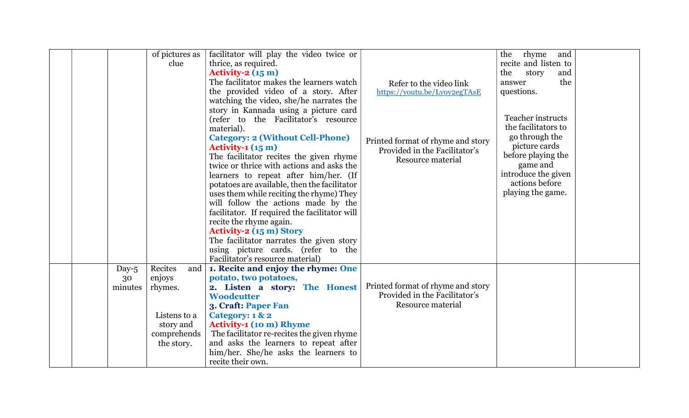| of pictures as      | facilitator will play the video twice or      |                                   | rhyme<br>the<br>and      |  |
|---------------------|-----------------------------------------------|-----------------------------------|--------------------------|--|
| clue                | thrice, as required.                          |                                   | recite and listen to     |  |
|                     | Activity- $2(15 \text{ m})$                   |                                   | the<br>story<br>and      |  |
|                     | The facilitator makes the learners watch      |                                   | the<br>answer            |  |
|                     | the provided video of a story. After          | Refer to the video link           | questions.               |  |
|                     |                                               | https://youtu.be/Lyoy2egTAsE      |                          |  |
|                     | watching the video, she/he narrates the       |                                   |                          |  |
|                     | story in Kannada using a picture card         |                                   | <b>Teacher instructs</b> |  |
|                     | (refer to the Facilitator's resource          |                                   | the facilitators to      |  |
|                     | material).                                    |                                   |                          |  |
|                     | <b>Category: 2 (Without Cell-Phone)</b>       | Printed format of rhyme and story | go through the           |  |
|                     | Activity-1 $(15 \text{ m})$                   | Provided in the Facilitator's     | picture cards            |  |
|                     | The facilitator recites the given rhyme       | Resource material                 | before playing the       |  |
|                     | twice or thrice with actions and asks the     |                                   | game and                 |  |
|                     | learners to repeat after him/her. (If         |                                   | introduce the given      |  |
|                     | potatoes are available, then the facilitator  |                                   | actions before           |  |
|                     | uses them while reciting the rhyme) They      |                                   | playing the game.        |  |
|                     | will follow the actions made by the           |                                   |                          |  |
|                     | facilitator. If required the facilitator will |                                   |                          |  |
|                     | recite the rhyme again.                       |                                   |                          |  |
|                     | <b>Activity-2 (15 m) Story</b>                |                                   |                          |  |
|                     | The facilitator narrates the given story      |                                   |                          |  |
|                     | using picture cards. (refer to the            |                                   |                          |  |
|                     | Facilitator's resource material)              |                                   |                          |  |
| Recites<br>Day- $5$ | and   1. Recite and enjoy the rhyme: One      |                                   |                          |  |
| enjoys<br>30        | potato, two potatoes,                         |                                   |                          |  |
| minutes<br>rhymes.  | 2. Listen a story: The Honest                 | Printed format of rhyme and story |                          |  |
|                     | <b>Woodcutter</b>                             | Provided in the Facilitator's     |                          |  |
|                     | 3. Craft: Paper Fan                           | Resource material                 |                          |  |
| Listens to a        | Category: 1 & 2                               |                                   |                          |  |
| story and           | <b>Activity-1 (10 m) Rhyme</b>                |                                   |                          |  |
| comprehends         | The facilitator re-recites the given rhyme    |                                   |                          |  |
| the story.          | and asks the learners to repeat after         |                                   |                          |  |
|                     | him/her. She/he asks the learners to          |                                   |                          |  |
|                     | recite their own.                             |                                   |                          |  |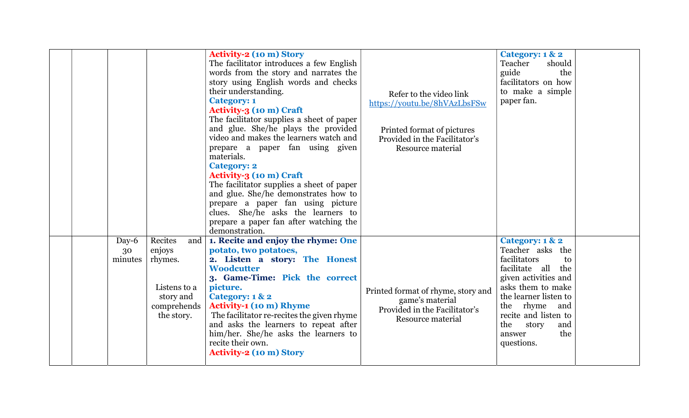|  |                        |                                                                                               | The facilitator introduces a few English<br>words from the story and narrates the<br>story using English words and checks<br>their understanding.<br><b>Category: 1</b><br><b>Activity-3 (10 m) Craft</b><br>The facilitator supplies a sheet of paper<br>and glue. She/he plays the provided<br>video and makes the learners watch and<br>prepare a paper fan using given<br>materials.<br><b>Category: 2</b><br>Activity-3 (10 m) Craft<br>The facilitator supplies a sheet of paper<br>and glue. She/he demonstrates how to<br>prepare a paper fan using picture<br>clues. She/he asks the learners to<br>prepare a paper fan after watching the<br>demonstration. | Refer to the video link<br>https://youtu.be/8hVAzLbsFSw<br>Printed format of pictures<br>Provided in the Facilitator's<br>Resource material | Teacher<br>should<br>guide<br>the<br>facilitators on how<br>to make a simple<br>paper fan.                                                                                                                                                           |  |
|--|------------------------|-----------------------------------------------------------------------------------------------|-----------------------------------------------------------------------------------------------------------------------------------------------------------------------------------------------------------------------------------------------------------------------------------------------------------------------------------------------------------------------------------------------------------------------------------------------------------------------------------------------------------------------------------------------------------------------------------------------------------------------------------------------------------------------|---------------------------------------------------------------------------------------------------------------------------------------------|------------------------------------------------------------------------------------------------------------------------------------------------------------------------------------------------------------------------------------------------------|--|
|  | Day-6<br>30<br>minutes | Recites<br>and<br>enjoys<br>rhymes.<br>Listens to a<br>story and<br>comprehends<br>the story. | 1. Recite and enjoy the rhyme: One<br>potato, two potatoes,<br>2. Listen a story: The Honest<br><b>Woodcutter</b><br>3. Game-Time: Pick the correct<br>picture.<br>Category: 1 & 2<br><b>Activity-1 (10 m) Rhyme</b><br>The facilitator re-recites the given rhyme<br>and asks the learners to repeat after<br>him/her. She/he asks the learners to<br>recite their own.<br><b>Activity-2 (10 m) Story</b>                                                                                                                                                                                                                                                            | Printed format of rhyme, story and<br>game's material<br>Provided in the Facilitator's<br>Resource material                                 | Category: 1 & 2<br>Teacher asks the<br>facilitators<br>to<br>facilitate all the<br>given activities and<br>asks them to make<br>the learner listen to<br>the rhyme and<br>recite and listen to<br>the<br>story<br>and<br>the<br>answer<br>questions. |  |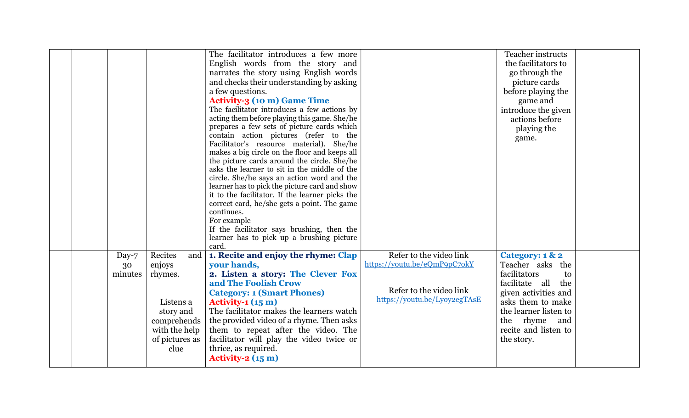|  |                           |                                                                                                                           | The facilitator introduces a few more<br>English words from the story and<br>narrates the story using English words<br>and checks their understanding by asking<br>a few questions.<br><b>Activity-3 (10 m) Game Time</b><br>The facilitator introduces a few actions by<br>acting them before playing this game. She/he<br>prepares a few sets of picture cards which<br>contain action pictures (refer to the<br>Facilitator's resource material). She/he<br>makes a big circle on the floor and keeps all<br>the picture cards around the circle. She/he<br>asks the learner to sit in the middle of the<br>circle. She/he says an action word and the<br>learner has to pick the picture card and show<br>it to the facilitator. If the learner picks the<br>correct card, he/she gets a point. The game<br>continues.<br>For example<br>If the facilitator says brushing, then the<br>learner has to pick up a brushing picture<br>card. |                                                                                                                    | <b>Teacher instructs</b><br>the facilitators to<br>go through the<br>picture cards<br>before playing the<br>game and<br>introduce the given<br>actions before<br>playing the<br>game.                           |  |
|--|---------------------------|---------------------------------------------------------------------------------------------------------------------------|-----------------------------------------------------------------------------------------------------------------------------------------------------------------------------------------------------------------------------------------------------------------------------------------------------------------------------------------------------------------------------------------------------------------------------------------------------------------------------------------------------------------------------------------------------------------------------------------------------------------------------------------------------------------------------------------------------------------------------------------------------------------------------------------------------------------------------------------------------------------------------------------------------------------------------------------------|--------------------------------------------------------------------------------------------------------------------|-----------------------------------------------------------------------------------------------------------------------------------------------------------------------------------------------------------------|--|
|  | Day- $7$<br>30<br>minutes | Recites<br>and  <br>enjoys<br>rhymes.<br>Listens a<br>story and<br>comprehends<br>with the help<br>of pictures as<br>clue | 1. Recite and enjoy the rhyme: Clap<br>your hands,<br>2. Listen a story: The Clever Fox<br>and The Foolish Crow<br><b>Category: 1 (Smart Phones)</b><br>Activity-1 $(15 \text{ m})$<br>The facilitator makes the learners watch<br>the provided video of a rhyme. Then asks<br>them to repeat after the video. The<br>facilitator will play the video twice or<br>thrice, as required.<br>Activity- $2(15 \text{ m})$                                                                                                                                                                                                                                                                                                                                                                                                                                                                                                                         | Refer to the video link<br>https://youtu.be/eQmP9pC7okY<br>Refer to the video link<br>https://youtu.be/Lyoy2egTAsE | Category: 1 & 2<br>Teacher asks the<br>facilitators<br>to<br>facilitate all<br>the<br>given activities and<br>asks them to make<br>the learner listen to<br>the rhyme and<br>recite and listen to<br>the story. |  |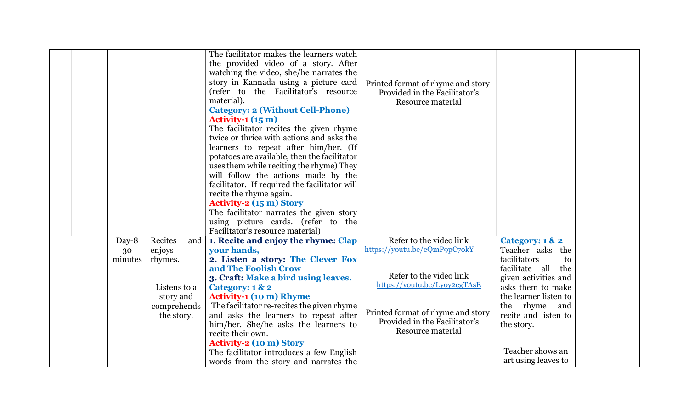|  |         |                | The facilitator makes the learners watch      |                                   |                       |  |
|--|---------|----------------|-----------------------------------------------|-----------------------------------|-----------------------|--|
|  |         |                | the provided video of a story. After          |                                   |                       |  |
|  |         |                | watching the video, she/he narrates the       |                                   |                       |  |
|  |         |                |                                               |                                   |                       |  |
|  |         |                | story in Kannada using a picture card         | Printed format of rhyme and story |                       |  |
|  |         |                | (refer to the Facilitator's resource          | Provided in the Facilitator's     |                       |  |
|  |         |                | material).                                    | Resource material                 |                       |  |
|  |         |                | <b>Category: 2 (Without Cell-Phone)</b>       |                                   |                       |  |
|  |         |                | Activity-1 $(15 \text{ m})$                   |                                   |                       |  |
|  |         |                | The facilitator recites the given rhyme       |                                   |                       |  |
|  |         |                | twice or thrice with actions and asks the     |                                   |                       |  |
|  |         |                | learners to repeat after him/her. (If         |                                   |                       |  |
|  |         |                | potatoes are available, then the facilitator  |                                   |                       |  |
|  |         |                | uses them while reciting the rhyme) They      |                                   |                       |  |
|  |         |                | will follow the actions made by the           |                                   |                       |  |
|  |         |                | facilitator. If required the facilitator will |                                   |                       |  |
|  |         |                | recite the rhyme again.                       |                                   |                       |  |
|  |         |                | <b>Activity-2 (15 m) Story</b>                |                                   |                       |  |
|  |         |                | The facilitator narrates the given story      |                                   |                       |  |
|  |         |                | using picture cards. (refer to the            |                                   |                       |  |
|  |         |                | Facilitator's resource material)              |                                   |                       |  |
|  | Day-8   | Recites<br>and | 1. Recite and enjoy the rhyme: Clap           | Refer to the video link           | Category: 1 & 2       |  |
|  | 30      | enjoys         | your hands,                                   | https://youtu.be/eQmP9pC70kY      | Teacher asks the      |  |
|  | minutes | rhymes.        | 2. Listen a story: The Clever Fox             |                                   | facilitators<br>to    |  |
|  |         |                | and The Foolish Crow                          |                                   | facilitate all<br>the |  |
|  |         |                | 3. Craft: Make a bird using leaves.           | Refer to the video link           | given activities and  |  |
|  |         | Listens to a   | Category: 1 & 2                               | https://youtu.be/Lyoy2egTAsE      | asks them to make     |  |
|  |         | story and      | <b>Activity-1 (10 m) Rhyme</b>                |                                   | the learner listen to |  |
|  |         | comprehends    | The facilitator re-recites the given rhyme    |                                   | the rhyme<br>and      |  |
|  |         | the story.     | and asks the learners to repeat after         | Printed format of rhyme and story | recite and listen to  |  |
|  |         |                | him/her. She/he asks the learners to          | Provided in the Facilitator's     | the story.            |  |
|  |         |                | recite their own.                             | Resource material                 |                       |  |
|  |         |                | <b>Activity-2 (10 m) Story</b>                |                                   |                       |  |
|  |         |                | The facilitator introduces a few English      |                                   | Teacher shows an      |  |
|  |         |                | words from the story and narrates the         |                                   | art using leaves to   |  |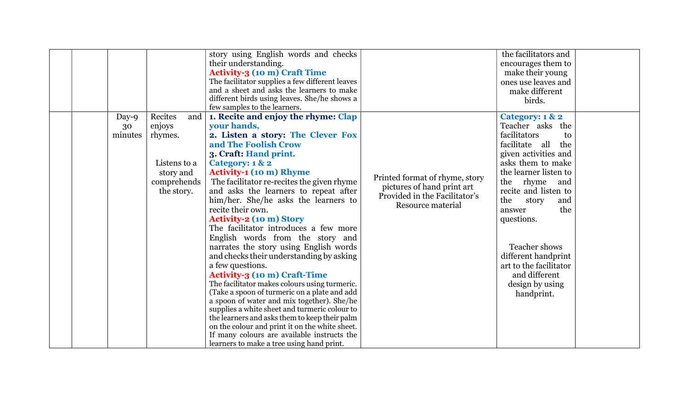|                        |                                                                                        | story using English words and checks<br>their understanding.<br><b>Activity-3 (10 m) Craft Time</b><br>The facilitator supplies a few different leaves                                                                                                                                                                                                                                                                                                                                                                                                                                                                                                                                                                                                                                                                                                                                                                                                                                                                 |                                                                                                                    | the facilitators and<br>encourages them to<br>make their young<br>ones use leaves and                                                                                                                                                                                                                                                                                       |  |
|------------------------|----------------------------------------------------------------------------------------|------------------------------------------------------------------------------------------------------------------------------------------------------------------------------------------------------------------------------------------------------------------------------------------------------------------------------------------------------------------------------------------------------------------------------------------------------------------------------------------------------------------------------------------------------------------------------------------------------------------------------------------------------------------------------------------------------------------------------------------------------------------------------------------------------------------------------------------------------------------------------------------------------------------------------------------------------------------------------------------------------------------------|--------------------------------------------------------------------------------------------------------------------|-----------------------------------------------------------------------------------------------------------------------------------------------------------------------------------------------------------------------------------------------------------------------------------------------------------------------------------------------------------------------------|--|
|                        |                                                                                        | and a sheet and asks the learners to make<br>different birds using leaves. She/he shows a<br>few samples to the learners.                                                                                                                                                                                                                                                                                                                                                                                                                                                                                                                                                                                                                                                                                                                                                                                                                                                                                              |                                                                                                                    | make different<br>birds.                                                                                                                                                                                                                                                                                                                                                    |  |
| Day-9<br>30<br>minutes | Recites<br>enjoys<br>rhymes.<br>Listens to a<br>story and<br>comprehends<br>the story. | and   1. Recite and enjoy the rhyme: Clap<br>your hands,<br>2. Listen a story: The Clever Fox<br>and The Foolish Crow<br>3. Craft: Hand print.<br>Category: 1 & 2<br><b>Activity-1 (10 m) Rhyme</b><br>The facilitator re-recites the given rhyme<br>and asks the learners to repeat after<br>him/her. She/he asks the learners to<br>recite their own.<br><b>Activity-2 (10 m) Story</b><br>The facilitator introduces a few more<br>English words from the story and<br>narrates the story using English words<br>and checks their understanding by asking<br>a few questions.<br><b>Activity-3 (10 m) Craft-Time</b><br>The facilitator makes colours using turmeric.<br>(Take a spoon of turmeric on a plate and add<br>a spoon of water and mix together). She/he<br>supplies a white sheet and turmeric colour to<br>the learners and asks them to keep their palm<br>on the colour and print it on the white sheet.<br>If many colours are available instructs the<br>learners to make a tree using hand print. | Printed format of rhyme, story<br>pictures of hand print art<br>Provided in the Facilitator's<br>Resource material | Category: 1 & 2<br>Teacher asks the<br>facilitators<br>to<br>facilitate all<br>the<br>given activities and<br>asks them to make<br>the learner listen to<br>the rhyme and<br>recite and listen to<br>the<br>story<br>and<br>the<br>answer<br>questions.<br>Teacher shows<br>different handprint<br>art to the facilitator<br>and different<br>design by using<br>handprint. |  |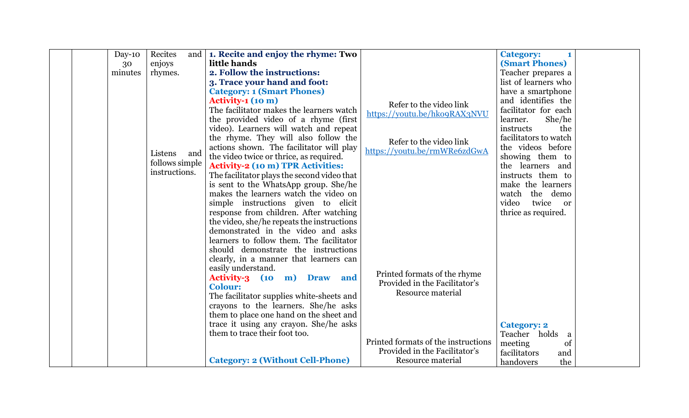| $Day-10$ | Recites        | and   1. Recite and enjoy the rhyme: Two                                |                                     | <b>Category:</b><br>$\mathbf{1}$ |
|----------|----------------|-------------------------------------------------------------------------|-------------------------------------|----------------------------------|
| 30       | enjoys         | little hands                                                            |                                     | <b>(Smart Phones)</b>            |
| minutes  | rhymes.        | 2. Follow the instructions:                                             |                                     | Teacher prepares a               |
|          |                | 3. Trace your hand and foot:                                            |                                     | list of learners who             |
|          |                | <b>Category: 1 (Smart Phones)</b>                                       |                                     | have a smartphone                |
|          |                | <b>Activity-1 (10 m)</b>                                                | Refer to the video link             | and identifies the               |
|          |                | The facilitator makes the learners watch                                | https://youtu.be/hko9RAX3NVU        | facilitator for each             |
|          |                | the provided video of a rhyme (first                                    |                                     | She/he<br>learner.               |
|          |                | video). Learners will watch and repeat                                  |                                     | the<br>instructs                 |
|          |                | the rhyme. They will also follow the                                    | Refer to the video link             | facilitators to watch            |
|          |                | actions shown. The facilitator will play                                | https://youtu.be/rmWRe6zdGwA        | the videos before                |
|          | Listens<br>and | the video twice or thrice, as required.                                 |                                     | showing them to                  |
|          | follows simple | <b>Activity-2 (10 m) TPR Activities:</b>                                |                                     | the learners and                 |
|          | instructions.  | The facilitator plays the second video that                             |                                     | instructs them to                |
|          |                | is sent to the WhatsApp group. She/he                                   |                                     | make the learners                |
|          |                | makes the learners watch the video on                                   |                                     | watch the demo                   |
|          |                | simple instructions given to elicit                                     |                                     | twice<br>video<br><sub>or</sub>  |
|          |                | response from children. After watching                                  |                                     | thrice as required.              |
|          |                | the video, she/he repeats the instructions                              |                                     |                                  |
|          |                | demonstrated in the video and asks                                      |                                     |                                  |
|          |                | learners to follow them. The facilitator                                |                                     |                                  |
|          |                | should demonstrate the instructions                                     |                                     |                                  |
|          |                | clearly, in a manner that learners can                                  |                                     |                                  |
|          |                | easily understand.                                                      | Printed formats of the rhyme        |                                  |
|          |                | Activity-3 (10 m) Draw and                                              | Provided in the Facilitator's       |                                  |
|          |                | <b>Colour:</b>                                                          | Resource material                   |                                  |
|          |                | The facilitator supplies white-sheets and                               |                                     |                                  |
|          |                | crayons to the learners. She/he asks                                    |                                     |                                  |
|          |                | them to place one hand on the sheet and                                 |                                     |                                  |
|          |                | trace it using any crayon. She/he asks<br>them to trace their foot too. |                                     | <b>Category: 2</b>               |
|          |                |                                                                         | Printed formats of the instructions | Teacher holds<br>a               |
|          |                |                                                                         | Provided in the Facilitator's       | meeting<br>of<br>facilitators    |
|          |                |                                                                         |                                     | and                              |
|          |                | <b>Category: 2 (Without Cell-Phone)</b>                                 | Resource material                   | the<br>handovers                 |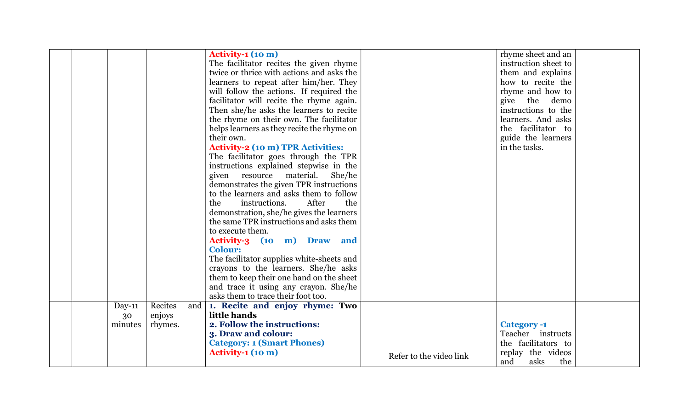|  |         |         |     | <b>Activity-1 (10 m)</b>                   |                         | rhyme sheet and an   |
|--|---------|---------|-----|--------------------------------------------|-------------------------|----------------------|
|  |         |         |     | The facilitator recites the given rhyme    |                         | instruction sheet to |
|  |         |         |     | twice or thrice with actions and asks the  |                         | them and explains    |
|  |         |         |     | learners to repeat after him/her. They     |                         | how to recite the    |
|  |         |         |     | will follow the actions. If required the   |                         | rhyme and how to     |
|  |         |         |     | facilitator will recite the rhyme again.   |                         | give the<br>demo     |
|  |         |         |     | Then she/he asks the learners to recite    |                         | instructions to the  |
|  |         |         |     |                                            |                         | learners. And asks   |
|  |         |         |     | the rhyme on their own. The facilitator    |                         | the facilitator to   |
|  |         |         |     | helps learners as they recite the rhyme on |                         |                      |
|  |         |         |     | their own.                                 |                         | guide the learners   |
|  |         |         |     | <b>Activity-2 (10 m) TPR Activities:</b>   |                         | in the tasks.        |
|  |         |         |     | The facilitator goes through the TPR       |                         |                      |
|  |         |         |     | instructions explained stepwise in the     |                         |                      |
|  |         |         |     | given resource material. She/he            |                         |                      |
|  |         |         |     | demonstrates the given TPR instructions    |                         |                      |
|  |         |         |     | to the learners and asks them to follow    |                         |                      |
|  |         |         |     | the<br>instructions.<br>After<br>the       |                         |                      |
|  |         |         |     | demonstration, she/he gives the learners   |                         |                      |
|  |         |         |     | the same TPR instructions and asks them    |                         |                      |
|  |         |         |     | to execute them.                           |                         |                      |
|  |         |         |     | Activity-3 (10 m) Draw and                 |                         |                      |
|  |         |         |     | <b>Colour:</b>                             |                         |                      |
|  |         |         |     | The facilitator supplies white-sheets and  |                         |                      |
|  |         |         |     | crayons to the learners. She/he asks       |                         |                      |
|  |         |         |     | them to keep their one hand on the sheet   |                         |                      |
|  |         |         |     | and trace it using any crayon. She/he      |                         |                      |
|  |         |         |     | asks them to trace their foot too.         |                         |                      |
|  | Day-11  | Recites | and | 1. Recite and enjoy rhyme: Two             |                         |                      |
|  | 30      | enjoys  |     | little hands                               |                         |                      |
|  | minutes | rhymes. |     | 2. Follow the instructions:                |                         | <b>Category -1</b>   |
|  |         |         |     | 3. Draw and colour:                        |                         | Teacher instructs    |
|  |         |         |     | <b>Category: 1 (Smart Phones)</b>          |                         | the facilitators to  |
|  |         |         |     | <b>Activity-1 (10 m)</b>                   | Refer to the video link | replay the videos    |
|  |         |         |     |                                            |                         | and<br>asks<br>the   |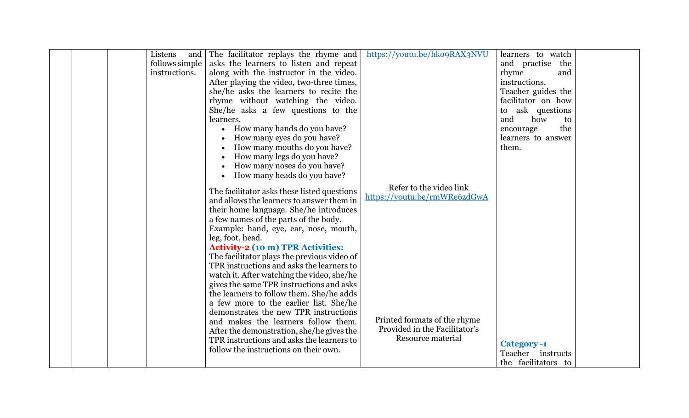|  | Listens<br>and | The facilitator replays the rhyme and                                                  | https://youtu.be/hko9RAX3NVU  | learners to watch               |  |
|--|----------------|----------------------------------------------------------------------------------------|-------------------------------|---------------------------------|--|
|  | follows simple | asks the learners to listen and repeat                                                 |                               | and practise<br>the             |  |
|  | instructions.  | along with the instructor in the video.                                                |                               | rhyme<br>and                    |  |
|  |                | After playing the video, two-three times,                                              |                               | instructions.                   |  |
|  |                | she/he asks the learners to recite the                                                 |                               | Teacher guides the              |  |
|  |                | rhyme without watching the video.                                                      |                               | facilitator on how              |  |
|  |                | She/he asks a few questions to the                                                     |                               | to ask questions                |  |
|  |                | learners.                                                                              |                               | and<br>how<br>to                |  |
|  |                |                                                                                        |                               | the                             |  |
|  |                | How many hands do you have?                                                            |                               | encourage<br>learners to answer |  |
|  |                | How many eyes do you have?                                                             |                               |                                 |  |
|  |                | How many mouths do you have?                                                           |                               | them.                           |  |
|  |                | How many legs do you have?                                                             |                               |                                 |  |
|  |                | How many noses do you have?                                                            |                               |                                 |  |
|  |                | How many heads do you have?                                                            |                               |                                 |  |
|  |                | The facilitator asks these listed questions                                            | Refer to the video link       |                                 |  |
|  |                | and allows the learners to answer them in                                              | https://youtu.be/rmWRe6zdGwA  |                                 |  |
|  |                | their home language. She/he introduces                                                 |                               |                                 |  |
|  |                | a few names of the parts of the body.                                                  |                               |                                 |  |
|  |                | Example: hand, eye, ear, nose, mouth,                                                  |                               |                                 |  |
|  |                | leg, foot, head.                                                                       |                               |                                 |  |
|  |                | <b>Activity-2 (10 m) TPR Activities:</b>                                               |                               |                                 |  |
|  |                | The facilitator plays the previous video of                                            |                               |                                 |  |
|  |                | TPR instructions and asks the learners to                                              |                               |                                 |  |
|  |                | watch it. After watching the video, she/he                                             |                               |                                 |  |
|  |                | gives the same TPR instructions and asks                                               |                               |                                 |  |
|  |                | the learners to follow them. She/he adds                                               |                               |                                 |  |
|  |                | a few more to the earlier list. She/he                                                 |                               |                                 |  |
|  |                | demonstrates the new TPR instructions                                                  |                               |                                 |  |
|  |                | and makes the learners follow them.                                                    | Printed formats of the rhyme  |                                 |  |
|  |                |                                                                                        | Provided in the Facilitator's |                                 |  |
|  |                | After the demonstration, she/he gives the<br>TPR instructions and asks the learners to | Resource material             |                                 |  |
|  |                | follow the instructions on their own.                                                  |                               | <b>Category -1</b>              |  |
|  |                |                                                                                        |                               | Teacher instructs               |  |
|  |                |                                                                                        |                               | the facilitators to             |  |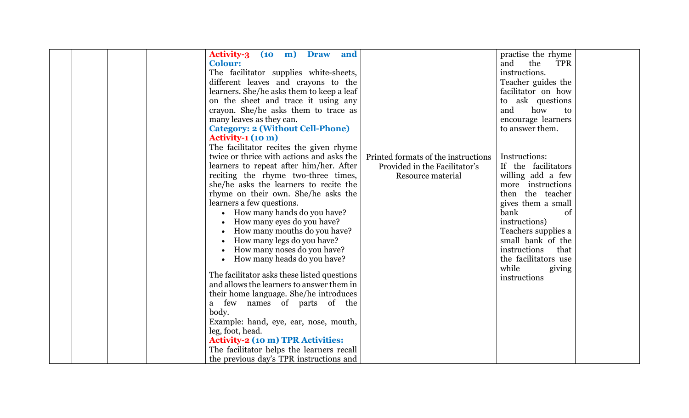|  | <b>Activity-3</b><br>(10)<br>m)<br><b>Draw</b><br>and |                                     | practise the rhyme       |  |
|--|-------------------------------------------------------|-------------------------------------|--------------------------|--|
|  | <b>Colour:</b>                                        |                                     | and<br>the<br><b>TPR</b> |  |
|  | The facilitator supplies white-sheets,                |                                     | instructions.            |  |
|  | different leaves and crayons to the                   |                                     | Teacher guides the       |  |
|  | learners. She/he asks them to keep a leaf             |                                     | facilitator on how       |  |
|  | on the sheet and trace it using any                   |                                     | to ask questions         |  |
|  |                                                       |                                     | how<br>and<br>to         |  |
|  | crayon. She/he asks them to trace as                  |                                     |                          |  |
|  | many leaves as they can.                              |                                     | encourage learners       |  |
|  | <b>Category: 2 (Without Cell-Phone)</b>               |                                     | to answer them.          |  |
|  | Activity-1 (10 m)                                     |                                     |                          |  |
|  | The facilitator recites the given rhyme               |                                     |                          |  |
|  | twice or thrice with actions and asks the             | Printed formats of the instructions | Instructions:            |  |
|  | learners to repeat after him/her. After               | Provided in the Facilitator's       | If the facilitators      |  |
|  | reciting the rhyme two-three times,                   | Resource material                   | willing add a few        |  |
|  | she/he asks the learners to recite the                |                                     | more instructions        |  |
|  | rhyme on their own. She/he asks the                   |                                     | then the teacher         |  |
|  | learners a few questions.                             |                                     | gives them a small       |  |
|  | • How many hands do you have?                         |                                     | bank<br>of               |  |
|  | How many eyes do you have?                            |                                     | instructions)            |  |
|  | How many mouths do you have?                          |                                     | Teachers supplies a      |  |
|  | How many legs do you have?                            |                                     | small bank of the        |  |
|  | How many noses do you have?                           |                                     | instructions<br>that     |  |
|  | How many heads do you have?<br>$\bullet$              |                                     | the facilitators use     |  |
|  |                                                       |                                     | while<br>giving          |  |
|  | The facilitator asks these listed questions           |                                     | instructions             |  |
|  | and allows the learners to answer them in             |                                     |                          |  |
|  | their home language. She/he introduces                |                                     |                          |  |
|  | a few names of parts of the                           |                                     |                          |  |
|  | body.                                                 |                                     |                          |  |
|  | Example: hand, eye, ear, nose, mouth,                 |                                     |                          |  |
|  | leg, foot, head.                                      |                                     |                          |  |
|  | <b>Activity-2 (10 m) TPR Activities:</b>              |                                     |                          |  |
|  | The facilitator helps the learners recall             |                                     |                          |  |
|  | the previous day's TPR instructions and               |                                     |                          |  |
|  |                                                       |                                     |                          |  |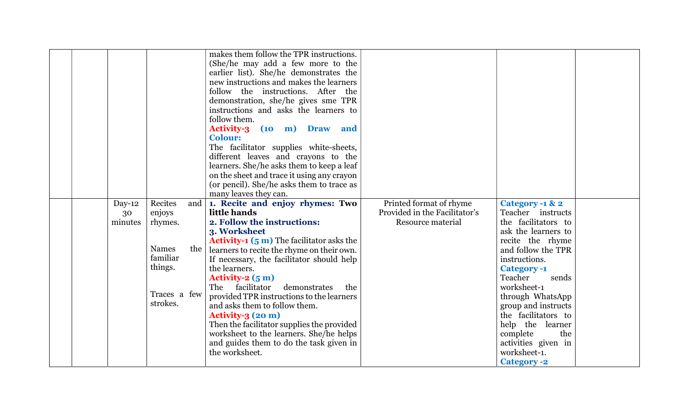|  |          |              | makes them follow the TPR instructions.                    |                               |                     |  |
|--|----------|--------------|------------------------------------------------------------|-------------------------------|---------------------|--|
|  |          |              | (She/he may add a few more to the                          |                               |                     |  |
|  |          |              | earlier list). She/he demonstrates the                     |                               |                     |  |
|  |          |              | new instructions and makes the learners                    |                               |                     |  |
|  |          |              | follow the instructions. After the                         |                               |                     |  |
|  |          |              |                                                            |                               |                     |  |
|  |          |              | demonstration, she/he gives sme TPR                        |                               |                     |  |
|  |          |              | instructions and asks the learners to                      |                               |                     |  |
|  |          |              | follow them.                                               |                               |                     |  |
|  |          |              | Activity-3 (10 m) Draw and                                 |                               |                     |  |
|  |          |              | <b>Colour:</b>                                             |                               |                     |  |
|  |          |              | The facilitator supplies white-sheets,                     |                               |                     |  |
|  |          |              | different leaves and crayons to the                        |                               |                     |  |
|  |          |              | learners. She/he asks them to keep a leaf                  |                               |                     |  |
|  |          |              | on the sheet and trace it using any crayon                 |                               |                     |  |
|  |          |              | (or pencil). She/he asks them to trace as                  |                               |                     |  |
|  |          |              | many leaves they can.                                      |                               |                     |  |
|  | $Day-12$ | Recites      | and   1. Recite and enjoy rhymes: Two                      | Printed format of rhyme       | Category -1 & 2     |  |
|  | 30       | enjoys       | little hands                                               | Provided in the Facilitator's | Teacher instructs   |  |
|  | minutes  | rhymes.      | 2. Follow the instructions:                                | Resource material             | the facilitators to |  |
|  |          |              | 3. Worksheet                                               |                               | ask the learners to |  |
|  |          |              | <b>Activity-1</b> $(5 \text{ m})$ The facilitator asks the |                               | recite the rhyme    |  |
|  |          | <b>Names</b> | the   learners to recite the rhyme on their own.           |                               | and follow the TPR  |  |
|  |          | familiar     | If necessary, the facilitator should help                  |                               | instructions.       |  |
|  |          | things.      | the learners.                                              |                               | <b>Category -1</b>  |  |
|  |          |              | Activity- $2(5m)$                                          |                               | Teacher<br>sends    |  |
|  |          |              | The<br>facilitator<br>demonstrates<br>the                  |                               | worksheet-1         |  |
|  |          | Traces a few | provided TPR instructions to the learners                  |                               | through WhatsApp    |  |
|  |          | strokes.     | and asks them to follow them.                              |                               | group and instructs |  |
|  |          |              | Activity-3 (20 m)                                          |                               | the facilitators to |  |
|  |          |              | Then the facilitator supplies the provided                 |                               | help the learner    |  |
|  |          |              | worksheet to the learners. She/he helps                    |                               | complete<br>the     |  |
|  |          |              | and guides them to do the task given in                    |                               | activities given in |  |
|  |          |              | the worksheet.                                             |                               | worksheet-1.        |  |
|  |          |              |                                                            |                               | <b>Category -2</b>  |  |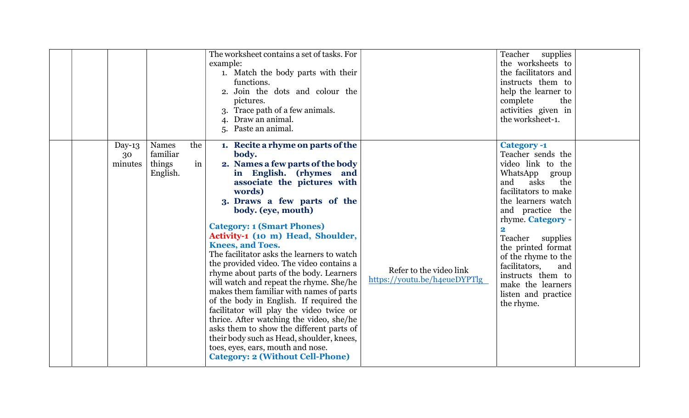|                         |                                                |           | The worksheet contains a set of tasks. For<br>example:<br>1. Match the body parts with their<br>functions.<br>2. Join the dots and colour the<br>pictures.<br>3. Trace path of a few animals.<br>4. Draw an animal.<br>5. Paste an animal.                                                                                                                                                                                                                                                                                                                                                                                                                                                                                                                                                                                                          |                                                         | Teacher supplies<br>the worksheets to<br>the facilitators and<br>instructs them to<br>help the learner to<br>complete<br>the<br>activities given in<br>the worksheet-1.                                                                                                                                                                                                                           |  |
|-------------------------|------------------------------------------------|-----------|-----------------------------------------------------------------------------------------------------------------------------------------------------------------------------------------------------------------------------------------------------------------------------------------------------------------------------------------------------------------------------------------------------------------------------------------------------------------------------------------------------------------------------------------------------------------------------------------------------------------------------------------------------------------------------------------------------------------------------------------------------------------------------------------------------------------------------------------------------|---------------------------------------------------------|---------------------------------------------------------------------------------------------------------------------------------------------------------------------------------------------------------------------------------------------------------------------------------------------------------------------------------------------------------------------------------------------------|--|
| Day-13<br>30<br>minutes | <b>Names</b><br>familiar<br>things<br>English. | the<br>in | 1. Recite a rhyme on parts of the<br>body.<br>2. Names a few parts of the body<br>in English. (rhymes and<br>associate the pictures with<br>words)<br>3. Draws a few parts of the<br>body. (eye, mouth)<br><b>Category: 1 (Smart Phones)</b><br>Activity-1 (10 m) Head, Shoulder,<br><b>Knees, and Toes.</b><br>The facilitator asks the learners to watch<br>the provided video. The video contains a<br>rhyme about parts of the body. Learners<br>will watch and repeat the rhyme. She/he<br>makes them familiar with names of parts<br>of the body in English. If required the<br>facilitator will play the video twice or<br>thrice. After watching the video, she/he<br>asks them to show the different parts of<br>their body such as Head, shoulder, knees,<br>toes, eyes, ears, mouth and nose.<br><b>Category: 2 (Without Cell-Phone)</b> | Refer to the video link<br>https://youtu.be/h4eueDYPTlg | <b>Category -1</b><br>Teacher sends the<br>video link to the<br>WhatsApp group<br>and<br>asks<br>the<br>facilitators to make<br>the learners watch<br>and practice the<br>rhyme. Category -<br>$\overline{\mathbf{2}}$<br>Teacher<br>supplies<br>the printed format<br>of the rhyme to the<br>facilitators,<br>and<br>instructs them to<br>make the learners<br>listen and practice<br>the rhyme. |  |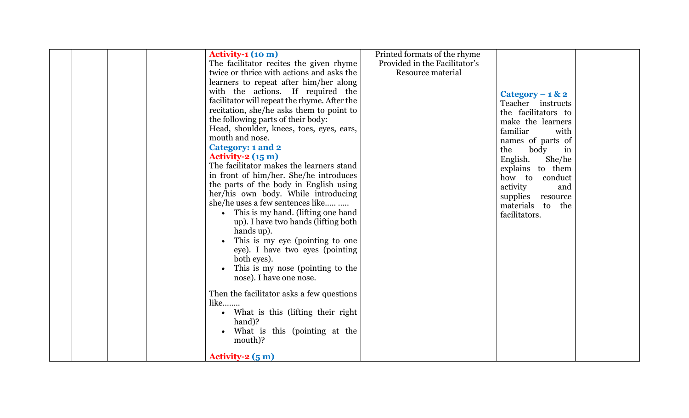|  | Activity-1 (10 m)                            | Printed formats of the rhyme  |                     |
|--|----------------------------------------------|-------------------------------|---------------------|
|  | The facilitator recites the given rhyme      | Provided in the Facilitator's |                     |
|  | twice or thrice with actions and asks the    | Resource material             |                     |
|  | learners to repeat after him/her along       |                               |                     |
|  | with the actions. If required the            |                               |                     |
|  | facilitator will repeat the rhyme. After the |                               | Category – $1 & 2$  |
|  |                                              |                               | Teacher instructs   |
|  | recitation, she/he asks them to point to     |                               | the facilitators to |
|  | the following parts of their body:           |                               | make the learners   |
|  | Head, shoulder, knees, toes, eyes, ears,     |                               | familiar<br>with    |
|  | mouth and nose.                              |                               | names of parts of   |
|  | Category: 1 and 2                            |                               | the<br>body<br>in   |
|  | Activity- $2(15 \text{ m})$                  |                               | English.<br>She/he  |
|  | The facilitator makes the learners stand     |                               | explains to them    |
|  | in front of him/her. She/he introduces       |                               | how to conduct      |
|  | the parts of the body in English using       |                               | activity<br>and     |
|  | her/his own body. While introducing          |                               | supplies resource   |
|  | she/he uses a few sentences like             |                               | materials to the    |
|  | This is my hand. (lifting one hand           |                               | facilitators.       |
|  | up). I have two hands (lifting both          |                               |                     |
|  | hands up).                                   |                               |                     |
|  | This is my eye (pointing to one              |                               |                     |
|  | eye). I have two eyes (pointing              |                               |                     |
|  | both eyes).                                  |                               |                     |
|  | This is my nose (pointing to the             |                               |                     |
|  | nose). I have one nose.                      |                               |                     |
|  |                                              |                               |                     |
|  | Then the facilitator asks a few questions    |                               |                     |
|  | $like$                                       |                               |                     |
|  | • What is this (lifting their right          |                               |                     |
|  | hand)?                                       |                               |                     |
|  | What is this (pointing at the                |                               |                     |
|  | mouth)?                                      |                               |                     |
|  |                                              |                               |                     |
|  | Activity- $2(5m)$                            |                               |                     |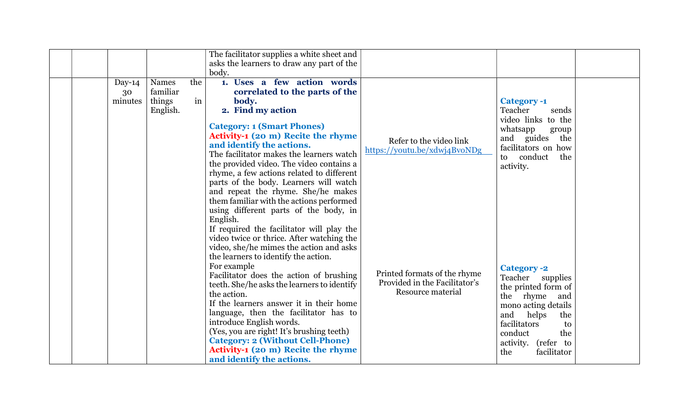|                         |                                                |           | The facilitator supplies a white sheet and<br>asks the learners to draw any part of the<br>body.                                                                                                                                                                                                                                                                                                                                                                                                                                                                                                                                  |                                                                                    |                                                                                                                                                                                                                      |  |
|-------------------------|------------------------------------------------|-----------|-----------------------------------------------------------------------------------------------------------------------------------------------------------------------------------------------------------------------------------------------------------------------------------------------------------------------------------------------------------------------------------------------------------------------------------------------------------------------------------------------------------------------------------------------------------------------------------------------------------------------------------|------------------------------------------------------------------------------------|----------------------------------------------------------------------------------------------------------------------------------------------------------------------------------------------------------------------|--|
| Day-14<br>30<br>minutes | <b>Names</b><br>familiar<br>things<br>English. | the<br>in | 1. Uses a few action words<br>correlated to the parts of the<br>body.<br>2. Find my action<br><b>Category: 1 (Smart Phones)</b><br>Activity-1 (20 m) Recite the rhyme<br>and identify the actions.<br>The facilitator makes the learners watch<br>the provided video. The video contains a<br>rhyme, a few actions related to different<br>parts of the body. Learners will watch<br>and repeat the rhyme. She/he makes<br>them familiar with the actions performed                                                                                                                                                               | Refer to the video link<br>https://youtu.be/xdwj4BvoNDg                            | <b>Category -1</b><br>Teacher<br>sends<br>video links to the<br>whatsapp<br>group<br>and guides<br>the<br>facilitators on how<br>to conduct<br>the<br>activity.                                                      |  |
|                         |                                                |           | using different parts of the body, in<br>English.<br>If required the facilitator will play the<br>video twice or thrice. After watching the<br>video, she/he mimes the action and asks<br>the learners to identify the action.<br>For example<br>Facilitator does the action of brushing<br>teeth. She/he asks the learners to identify<br>the action.<br>If the learners answer it in their home<br>language, then the facilitator has to<br>introduce English words.<br>(Yes, you are right! It's brushing teeth)<br><b>Category: 2 (Without Cell-Phone)</b><br>Activity-1 (20 m) Recite the rhyme<br>and identify the actions. | Printed formats of the rhyme<br>Provided in the Facilitator's<br>Resource material | <b>Category -2</b><br>Teacher supplies<br>the printed form of<br>the rhyme<br>and<br>mono acting details<br>and<br>helps<br>the<br>facilitators<br>to<br>conduct<br>the<br>activity. (refer to<br>facilitator<br>the |  |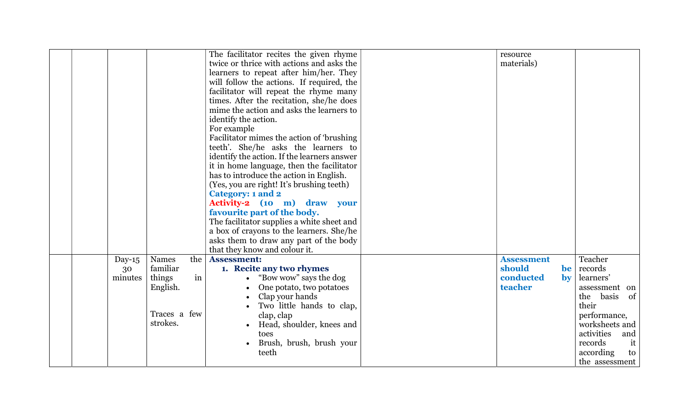|  |           |              |    | The facilitator recites the given rhyme<br>twice or thrice with actions and asks the<br>learners to repeat after him/her. They<br>will follow the actions. If required, the<br>facilitator will repeat the rhyme many<br>times. After the recitation, she/he does<br>mime the action and asks the learners to<br>identify the action.<br>For example<br>Facilitator mimes the action of 'brushing<br>teeth'. She/he asks the learners to<br>identify the action. If the learners answer<br>it in home language, then the facilitator<br>has to introduce the action in English.<br>(Yes, you are right! It's brushing teeth)<br>Category: 1 and 2<br>Activity-2 (10 m) draw your<br>favourite part of the body.<br>The facilitator supplies a white sheet and<br>a box of crayons to the learners. She/he | resource<br>materials) |                        |                                   |
|--|-----------|--------------|----|-----------------------------------------------------------------------------------------------------------------------------------------------------------------------------------------------------------------------------------------------------------------------------------------------------------------------------------------------------------------------------------------------------------------------------------------------------------------------------------------------------------------------------------------------------------------------------------------------------------------------------------------------------------------------------------------------------------------------------------------------------------------------------------------------------------|------------------------|------------------------|-----------------------------------|
|  |           |              |    | asks them to draw any part of the body<br>that they know and colour it.                                                                                                                                                                                                                                                                                                                                                                                                                                                                                                                                                                                                                                                                                                                                   |                        |                        |                                   |
|  | Day- $15$ | Names        |    | the Assessment:                                                                                                                                                                                                                                                                                                                                                                                                                                                                                                                                                                                                                                                                                                                                                                                           | <b>Assessment</b>      |                        | Teacher                           |
|  | 30        | familiar     |    | 1. Recite any two rhymes                                                                                                                                                                                                                                                                                                                                                                                                                                                                                                                                                                                                                                                                                                                                                                                  | should                 | be                     | records                           |
|  | minutes   | things       | in | "Bow wow" says the dog                                                                                                                                                                                                                                                                                                                                                                                                                                                                                                                                                                                                                                                                                                                                                                                    | conducted              | $\mathbf{b}\mathbf{v}$ | learners'                         |
|  |           | English.     |    | One potato, two potatoes                                                                                                                                                                                                                                                                                                                                                                                                                                                                                                                                                                                                                                                                                                                                                                                  | teacher                |                        | assessment on                     |
|  |           |              |    | Clap your hands                                                                                                                                                                                                                                                                                                                                                                                                                                                                                                                                                                                                                                                                                                                                                                                           |                        |                        | of <sub>1</sub><br>the basis      |
|  |           |              |    | Two little hands to clap,                                                                                                                                                                                                                                                                                                                                                                                                                                                                                                                                                                                                                                                                                                                                                                                 |                        |                        | their                             |
|  |           | Traces a few |    | clap, clap                                                                                                                                                                                                                                                                                                                                                                                                                                                                                                                                                                                                                                                                                                                                                                                                |                        |                        | performance,                      |
|  |           | strokes.     |    | Head, shoulder, knees and                                                                                                                                                                                                                                                                                                                                                                                                                                                                                                                                                                                                                                                                                                                                                                                 |                        |                        | worksheets and                    |
|  |           |              |    | toes                                                                                                                                                                                                                                                                                                                                                                                                                                                                                                                                                                                                                                                                                                                                                                                                      |                        |                        | activities<br>and                 |
|  |           |              |    | Brush, brush, brush your                                                                                                                                                                                                                                                                                                                                                                                                                                                                                                                                                                                                                                                                                                                                                                                  |                        |                        | it<br>records                     |
|  |           |              |    | teeth                                                                                                                                                                                                                                                                                                                                                                                                                                                                                                                                                                                                                                                                                                                                                                                                     |                        |                        | according<br>to<br>the assessment |